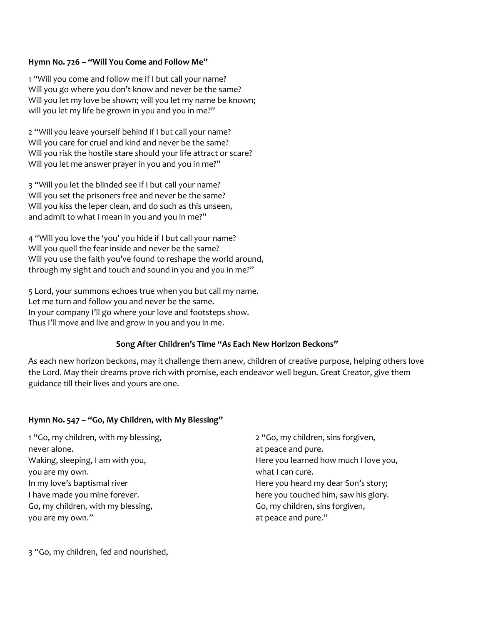### **Hymn No. 726 – "Will You Come and Follow Me"**

1 "Will you come and follow me if I but call your name? Will you go where you don't know and never be the same? Will you let my love be shown; will you let my name be known; will you let my life be grown in you and you in me?"

2 "Will you leave yourself behind if I but call your name? Will you care for cruel and kind and never be the same? Will you risk the hostile stare should your life attract or scare? Will you let me answer prayer in you and you in me?"

3 "Will you let the blinded see if I but call your name? Will you set the prisoners free and never be the same? Will you kiss the leper clean, and do such as this unseen, and admit to what I mean in you and you in me?"

4 "Will you love the 'you' you hide if I but call your name? Will you quell the fear inside and never be the same? Will you use the faith you've found to reshape the world around, through my sight and touch and sound in you and you in me?"

5 Lord, your summons echoes true when you but call my name. Let me turn and follow you and never be the same. In your company I'll go where your love and footsteps show. Thus I'll move and live and grow in you and you in me.

### **Song After Children's Time "As Each New Horizon Beckons"**

As each new horizon beckons, may it challenge them anew, children of creative purpose, helping others love the Lord. May their dreams prove rich with promise, each endeavor well begun. Great Creator, give them guidance till their lives and yours are one.

### **Hymn No. 547 – "Go, My Children, with My Blessing"**

1 "Go, my children, with my blessing, never alone. Waking, sleeping, I am with you, you are my own. In my love's baptismal river I have made you mine forever. Go, my children, with my blessing, you are my own."

2 "Go, my children, sins forgiven, at peace and pure. Here you learned how much I love you, what I can cure. Here you heard my dear Son's story; here you touched him, saw his glory. Go, my children, sins forgiven, at peace and pure."

3 "Go, my children, fed and nourished,